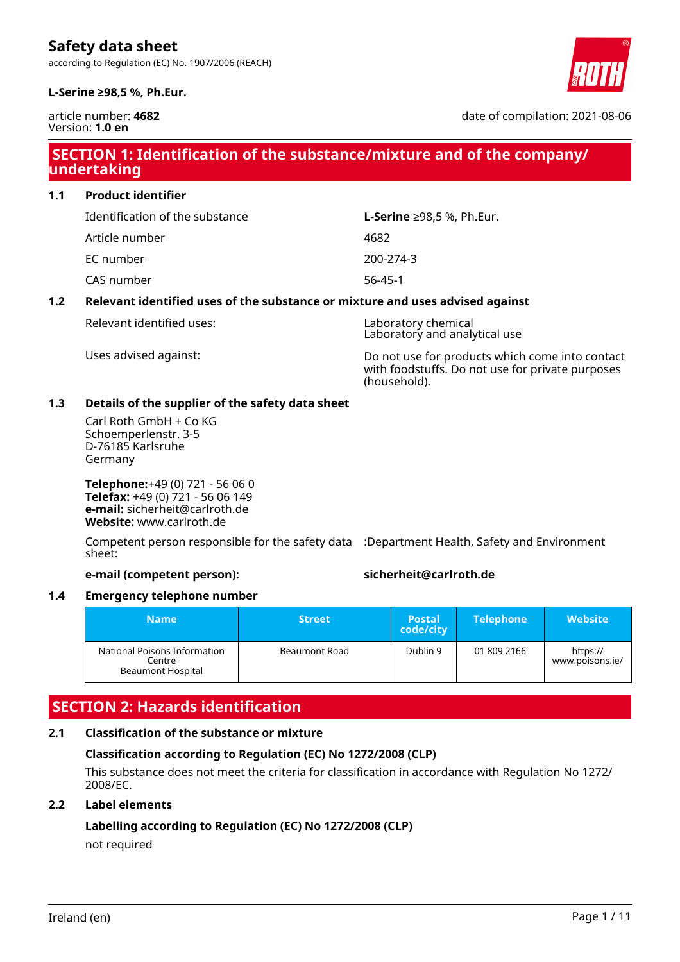according to Regulation (EC) No. 1907/2006 (REACH)

# **L-Serine ≥98,5 %, Ph.Eur.**



article number: **4682** Version: **1.0 en**

date of compilation: 2021-08-06

# **SECTION 1: Identification of the substance/mixture and of the company/ undertaking**

**1.1 Product identifier**

Identification of the substance **L-Serine** ≥98,5 %, Ph.Eur.

Article number 4682

EC number 200-274-3

CAS number 56-45-1

### **1.2 Relevant identified uses of the substance or mixture and uses advised against**

Relevant identified uses: Laboratory chemical

Laboratory and analytical use

Uses advised against: Do not use for products which come into contact with foodstuffs. Do not use for private purposes (household).

# **1.3 Details of the supplier of the safety data sheet**

Carl Roth GmbH + Co KG Schoemperlenstr. 3-5 D-76185 Karlsruhe Germany

**Telephone:**+49 (0) 721 - 56 06 0 **Telefax:** +49 (0) 721 - 56 06 149 **e-mail:** sicherheit@carlroth.de **Website:** www.carlroth.de

Competent person responsible for the safety data :Department Health, Safety and Environment sheet:

### **e-mail (competent person): sicherheit@carlroth.de**

### **1.4 Emergency telephone number**

| <b>Name</b>                                                 | <b>Street</b> | 'Postal،<br>code/city | <b>Telephone</b> | <b>Website</b>              |
|-------------------------------------------------------------|---------------|-----------------------|------------------|-----------------------------|
| National Poisons Information<br>Centre<br>Beaumont Hospital | Beaumont Road | Dublin 9              | 01 809 2166      | https://<br>www.poisons.ie/ |

# **SECTION 2: Hazards identification**

# **2.1 Classification of the substance or mixture**

### **Classification according to Regulation (EC) No 1272/2008 (CLP)**

This substance does not meet the criteria for classification in accordance with Regulation No 1272/ 2008/EC.

### **2.2 Label elements**

# **Labelling according to Regulation (EC) No 1272/2008 (CLP)**

not required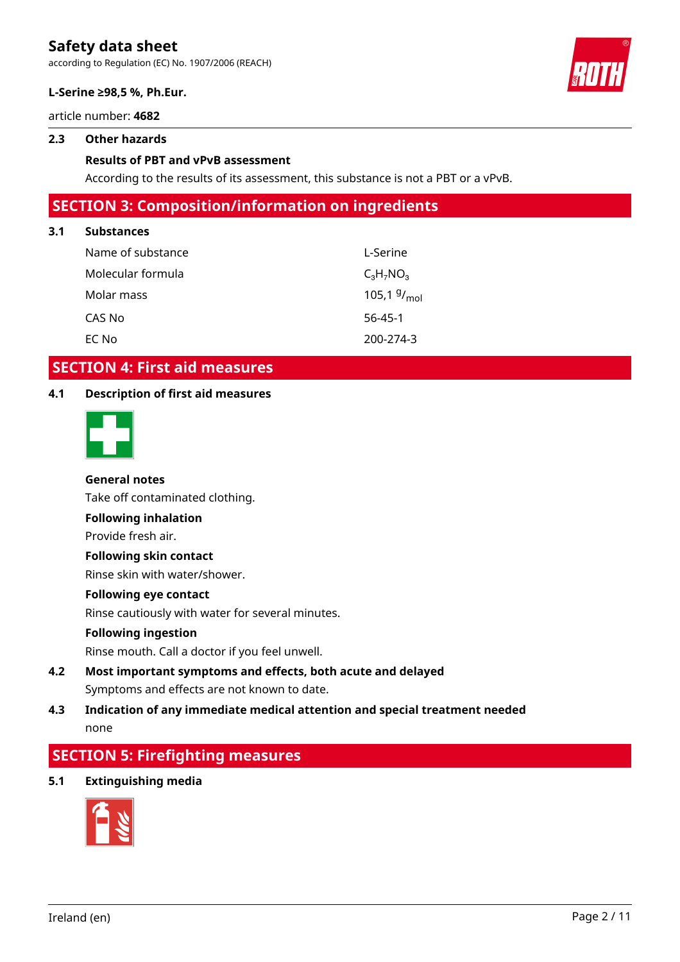according to Regulation (EC) No. 1907/2006 (REACH)

#### **L-Serine ≥98,5 %, Ph.Eur.**

article number: **4682**

#### **2.3 Other hazards**

#### **Results of PBT and vPvB assessment**

According to the results of its assessment, this substance is not a PBT or a vPvB.

# **SECTION 3: Composition/information on ingredients**

#### **3.1 Substances**

| Name of substance | L-Serine                |
|-------------------|-------------------------|
| Molecular formula | $C_3H_7NO_3$            |
| Molar mass        | 105,1 $9/_{\text{mol}}$ |
| CAS No            | $56 - 45 - 1$           |
| EC No             | 200-274-3               |

# **SECTION 4: First aid measures**

#### **4.1 Description of first aid measures**



#### **General notes**

Take off contaminated clothing.

**Following inhalation**

Provide fresh air.

#### **Following skin contact**

Rinse skin with water/shower.

### **Following eye contact**

Rinse cautiously with water for several minutes.

#### **Following ingestion**

Rinse mouth. Call a doctor if you feel unwell.

# **4.2 Most important symptoms and effects, both acute and delayed** Symptoms and effects are not known to date.

# **4.3 Indication of any immediate medical attention and special treatment needed** none

# **SECTION 5: Firefighting measures**

**5.1 Extinguishing media**





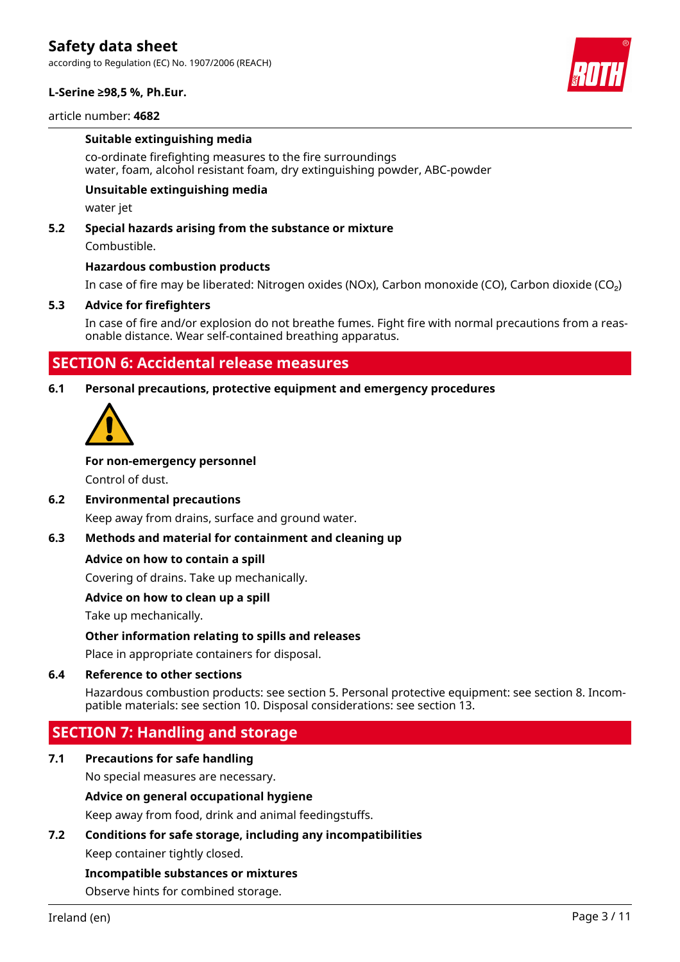according to Regulation (EC) No. 1907/2006 (REACH)



article number: **4682**

#### **Suitable extinguishing media**

co-ordinate firefighting measures to the fire surroundings water, foam, alcohol resistant foam, dry extinguishing powder, ABC-powder

#### **Unsuitable extinguishing media**

water jet

#### **5.2 Special hazards arising from the substance or mixture**

Combustible.

#### **Hazardous combustion products**

In case of fire may be liberated: Nitrogen oxides (NOx), Carbon monoxide (CO), Carbon dioxide (CO₂)

#### **5.3 Advice for firefighters**

In case of fire and/or explosion do not breathe fumes. Fight fire with normal precautions from a reasonable distance. Wear self-contained breathing apparatus.

# **SECTION 6: Accidental release measures**

#### **6.1 Personal precautions, protective equipment and emergency procedures**



#### **For non-emergency personnel**

Control of dust.

#### **6.2 Environmental precautions**

Keep away from drains, surface and ground water.

#### **6.3 Methods and material for containment and cleaning up**

#### **Advice on how to contain a spill**

Covering of drains. Take up mechanically.

#### **Advice on how to clean up a spill**

Take up mechanically.

#### **Other information relating to spills and releases**

Place in appropriate containers for disposal.

#### **6.4 Reference to other sections**

Hazardous combustion products: see section 5. Personal protective equipment: see section 8. Incompatible materials: see section 10. Disposal considerations: see section 13.

# **SECTION 7: Handling and storage**

# **7.1 Precautions for safe handling**

No special measures are necessary.

#### **Advice on general occupational hygiene**

Keep away from food, drink and animal feedingstuffs.

#### **7.2 Conditions for safe storage, including any incompatibilities**

Keep container tightly closed.

#### **Incompatible substances or mixtures**

Observe hints for combined storage.

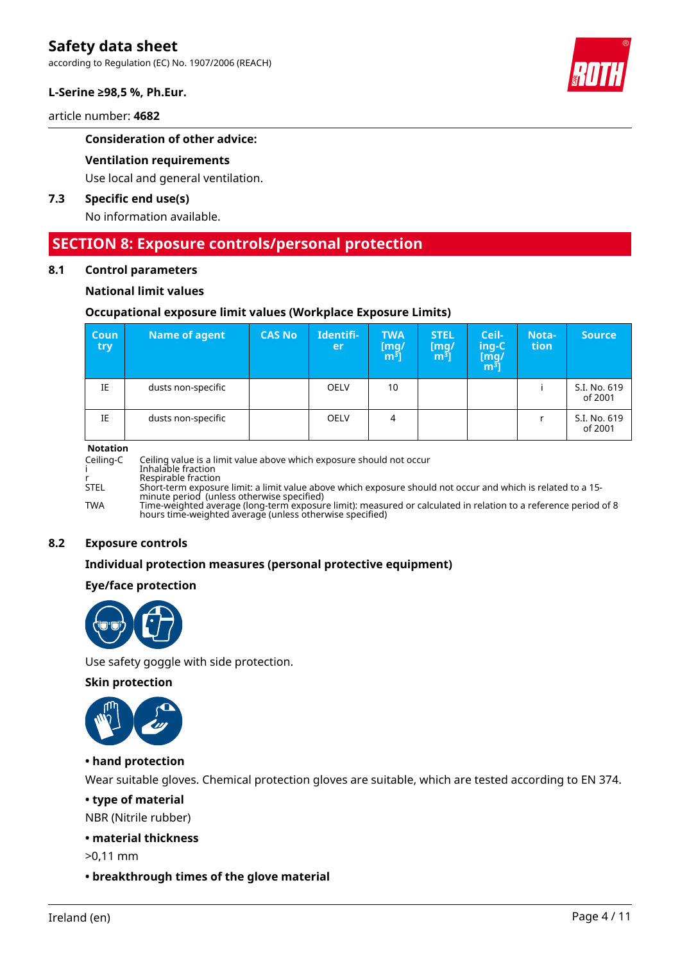according to Regulation (EC) No. 1907/2006 (REACH)

#### **L-Serine ≥98,5 %, Ph.Eur.**

article number: **4682**

#### **Consideration of other advice:**

#### **Ventilation requirements**

Use local and general ventilation.

### **7.3 Specific end use(s)**

No information available.

# **SECTION 8: Exposure controls/personal protection**

#### **8.1 Control parameters**

#### **National limit values**

#### **Occupational exposure limit values (Workplace Exposure Limits)**

| <b>Coun</b><br>try | <b>Name of agent</b> | <b>CAS No</b> | Identifi-<br><b>er</b> | <b>TWA</b><br>[mg/<br>$\mathbf{m}^{\mathbf{3}}$ ] | <b>STEL</b><br>$\begin{bmatrix} mg/\\ m^3 \end{bmatrix}$ | Ceil-<br>ing-C<br>$\begin{bmatrix} \bar{\text{mg}}/ \text{m}^3 \end{bmatrix}$ | Nota-<br>tion | <b>Source</b>           |
|--------------------|----------------------|---------------|------------------------|---------------------------------------------------|----------------------------------------------------------|-------------------------------------------------------------------------------|---------------|-------------------------|
| IE                 | dusts non-specific   |               | <b>OELV</b>            | 10                                                |                                                          |                                                                               |               | S.I. No. 619<br>of 2001 |
| IE                 | dusts non-specific   |               | <b>OELV</b>            | 4                                                 |                                                          |                                                                               |               | S.I. No. 619<br>of 2001 |

#### **Notation**

Ceiling-C Ceiling value is a limit value above which exposure should not occur i Inhalable fraction r Respirable fraction<br>STEL Short-term exposui STEL Short-term exposure limit: a limit value above which exposure should not occur and which is related to a 15 minute period (unless otherwise specified) TWA Time-weighted average (long-term exposure limit): measured or calculated in relation to a reference period of 8 hours time-weighted average (unless otherwise specified)

#### **8.2 Exposure controls**

#### **Individual protection measures (personal protective equipment)**

#### **Eye/face protection**



Use safety goggle with side protection.

#### **Skin protection**



#### **• hand protection**

Wear suitable gloves. Chemical protection gloves are suitable, which are tested according to EN 374.

## **• type of material**

NBR (Nitrile rubber)

#### **• material thickness**

>0,11 mm

#### **• breakthrough times of the glove material**

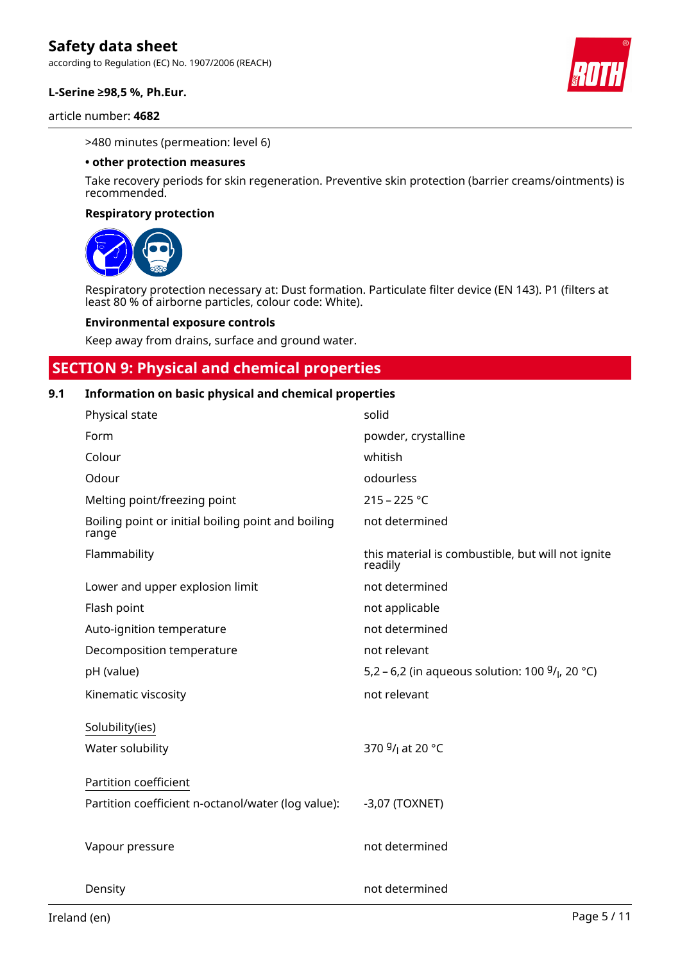according to Regulation (EC) No. 1907/2006 (REACH)

#### **L-Serine ≥98,5 %, Ph.Eur.**

article number: **4682**



#### >480 minutes (permeation: level 6)

#### **• other protection measures**

Take recovery periods for skin regeneration. Preventive skin protection (barrier creams/ointments) is recommended.

#### **Respiratory protection**



Respiratory protection necessary at: Dust formation. Particulate filter device (EN 143). P1 (filters at least 80 % of airborne particles, colour code: White).

#### **Environmental exposure controls**

Keep away from drains, surface and ground water.

# **SECTION 9: Physical and chemical properties**

#### **9.1 Information on basic physical and chemical properties**

| Physical state                                              | solid                                                        |
|-------------------------------------------------------------|--------------------------------------------------------------|
| Form                                                        | powder, crystalline                                          |
| Colour                                                      | whitish                                                      |
| Odour                                                       | odourless                                                    |
| Melting point/freezing point                                | $215 - 225 °C$                                               |
| Boiling point or initial boiling point and boiling<br>range | not determined                                               |
| Flammability                                                | this material is combustible, but will not ignite<br>readily |
| Lower and upper explosion limit                             | not determined                                               |
| Flash point                                                 | not applicable                                               |
| Auto-ignition temperature                                   | not determined                                               |
| Decomposition temperature                                   | not relevant                                                 |
| pH (value)                                                  | 5,2 – 6,2 (in aqueous solution: 100 $9/$ , 20 °C)            |
| Kinematic viscosity                                         | not relevant                                                 |
| Solubility(ies)                                             |                                                              |
| Water solubility                                            | 370 <sup>g</sup> / <sub>l</sub> at 20 °C                     |
| Partition coefficient                                       |                                                              |
| Partition coefficient n-octanol/water (log value):          | $-3,07$ (TOXNET)                                             |
| Vapour pressure                                             | not determined                                               |
| Density                                                     | not determined                                               |

Ireland (en) Page 5 / 11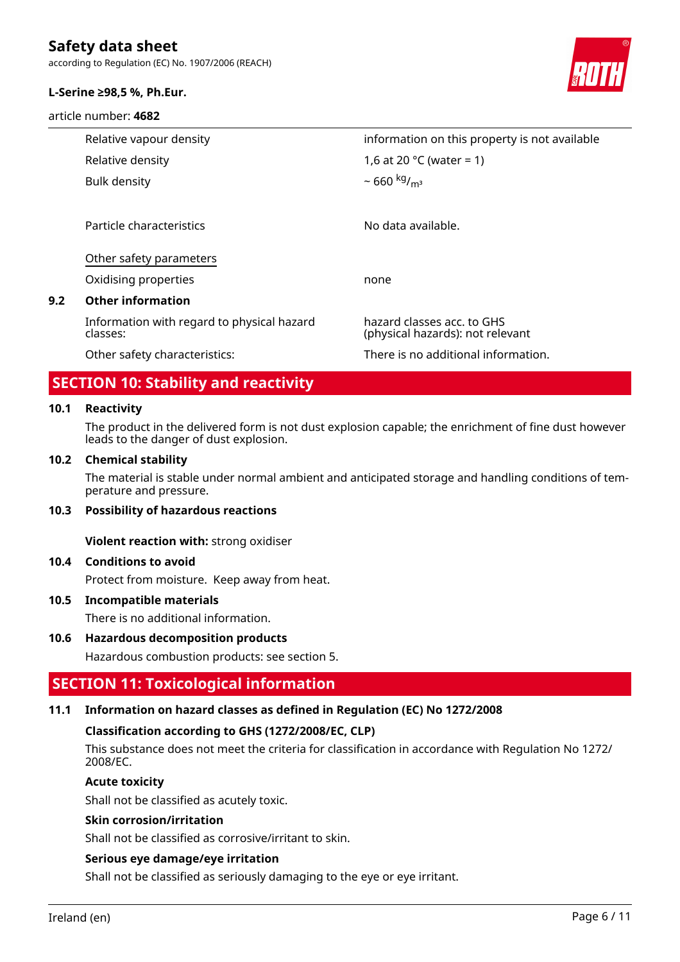according to Regulation (EC) No. 1907/2006 (REACH)

#### **L-Serine ≥98,5 %, Ph.Eur.**

article number: **4682**



| Relative vapour density |                                                        | information on this property is not available                  |  |
|-------------------------|--------------------------------------------------------|----------------------------------------------------------------|--|
|                         | Relative density                                       | 1,6 at 20 °C (water = 1)                                       |  |
|                         | Bulk density                                           | ~ 660 kg/ <sub>m<sup>3</sup></sub>                             |  |
|                         |                                                        |                                                                |  |
|                         | Particle characteristics                               | No data available.                                             |  |
|                         | Other safety parameters                                |                                                                |  |
|                         | Oxidising properties                                   | none                                                           |  |
|                         | <b>Other information</b>                               |                                                                |  |
|                         | Information with regard to physical hazard<br>classes: | hazard classes acc. to GHS<br>(physical hazards): not relevant |  |
|                         | Other safety characteristics:                          | There is no additional information.                            |  |

# **SECTION 10: Stability and reactivity**

#### **10.1 Reactivity**

**9.2 Other information**

The product in the delivered form is not dust explosion capable; the enrichment of fine dust however leads to the danger of dust explosion.

#### **10.2 Chemical stability**

The material is stable under normal ambient and anticipated storage and handling conditions of temperature and pressure.

#### **10.3 Possibility of hazardous reactions**

**Violent reaction with:** strong oxidiser

#### **10.4 Conditions to avoid**

Protect from moisture. Keep away from heat.

#### **10.5 Incompatible materials**

There is no additional information.

#### **10.6 Hazardous decomposition products**

Hazardous combustion products: see section 5.

# **SECTION 11: Toxicological information**

#### **11.1 Information on hazard classes as defined in Regulation (EC) No 1272/2008**

#### **Classification according to GHS (1272/2008/EC, CLP)**

This substance does not meet the criteria for classification in accordance with Regulation No 1272/ 2008/EC.

#### **Acute toxicity**

Shall not be classified as acutely toxic.

#### **Skin corrosion/irritation**

Shall not be classified as corrosive/irritant to skin.

#### **Serious eye damage/eye irritation**

Shall not be classified as seriously damaging to the eye or eye irritant.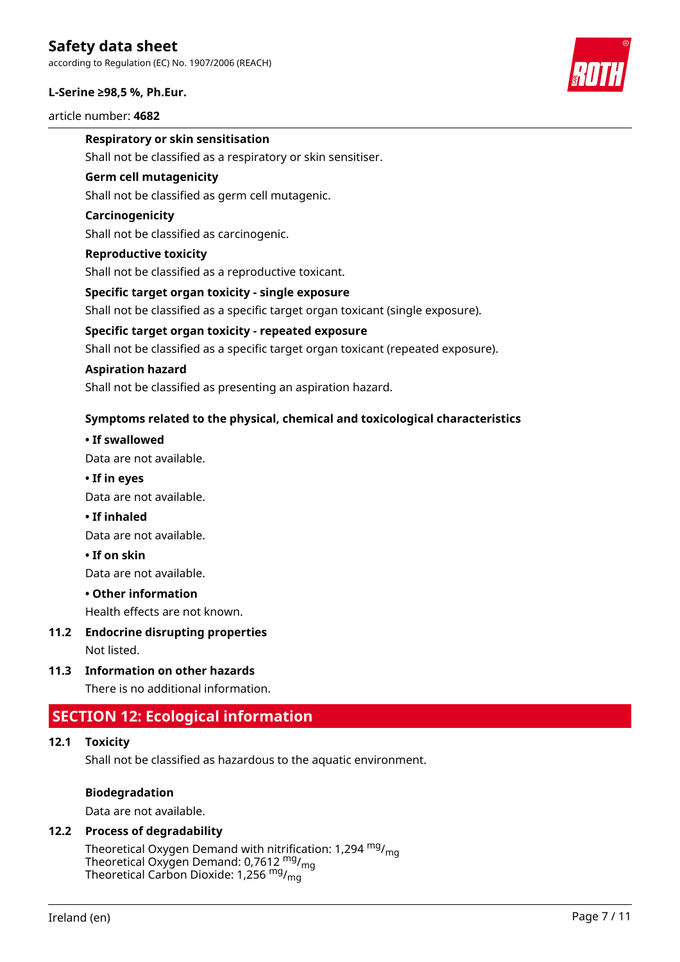according to Regulation (EC) No. 1907/2006 (REACH)

#### **L-Serine ≥98,5 %, Ph.Eur.**

article number: **4682**



### **Respiratory or skin sensitisation**

Shall not be classified as a respiratory or skin sensitiser.

#### **Germ cell mutagenicity**

Shall not be classified as germ cell mutagenic.

#### **Carcinogenicity**

Shall not be classified as carcinogenic.

#### **Reproductive toxicity**

Shall not be classified as a reproductive toxicant.

#### **Specific target organ toxicity - single exposure**

Shall not be classified as a specific target organ toxicant (single exposure).

#### **Specific target organ toxicity - repeated exposure**

Shall not be classified as a specific target organ toxicant (repeated exposure).

#### **Aspiration hazard**

Shall not be classified as presenting an aspiration hazard.

### **Symptoms related to the physical, chemical and toxicological characteristics**

### **• If swallowed**

Data are not available.

#### **• If in eyes**

Data are not available.

**• If inhaled**

Data are not available.

**• If on skin**

Data are not available.

#### **• Other information**

Health effects are not known.

**11.2 Endocrine disrupting properties**

Not listed.

**11.3 Information on other hazards**

There is no additional information.

# **SECTION 12: Ecological information**

### **12.1 Toxicity**

Shall not be classified as hazardous to the aquatic environment.

#### **Biodegradation**

Data are not available.

# **12.2 Process of degradability**

Theoretical Oxygen Demand with nitrification: 1,294  $mg/m<sub>on</sub>$ Theoretical Oxygen Demand: 0,7612  $mg/m<sub>0</sub>$ Theoretical Carbon Dioxide: 1,256 mg/mg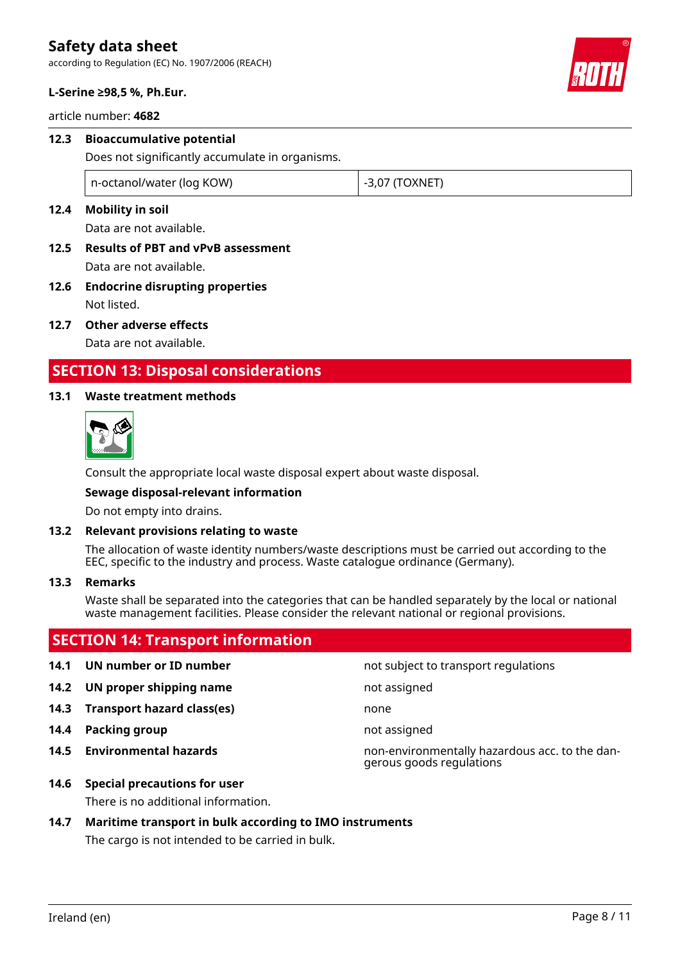according to Regulation (EC) No. 1907/2006 (REACH)



#### **L-Serine ≥98,5 %, Ph.Eur.**

article number: **4682**

# **12.3 Bioaccumulative potential** Does not significantly accumulate in organisms. n-octanol/water (log KOW)  $\vert$  -3,07 (TOXNET)

# **12.4 Mobility in soil**

Data are not available.

- **12.5 Results of PBT and vPvB assessment** Data are not available.
- **12.6 Endocrine disrupting properties** Not listed.
- **12.7 Other adverse effects**

Data are not available.

# **SECTION 13: Disposal considerations**

### **13.1 Waste treatment methods**



Consult the appropriate local waste disposal expert about waste disposal.

#### **Sewage disposal-relevant information**

Do not empty into drains.

#### **13.2 Relevant provisions relating to waste**

The allocation of waste identity numbers/waste descriptions must be carried out according to the EEC, specific to the industry and process. Waste catalogue ordinance (Germany).

#### **13.3 Remarks**

Waste shall be separated into the categories that can be handled separately by the local or national waste management facilities. Please consider the relevant national or regional provisions.

# **SECTION 14: Transport information**

# **14.1 UN number or ID number 14.1 UN number** not subject to transport regulations

- **14.2 UN proper shipping name** not assigned
- **14.3 Transport hazard class(es)** none
- **14.4 Packing group not assigned**
- 

**14.5 Environmental hazards** non-environmentally hazardous acc. to the dangerous goods regulations

**14.6 Special precautions for user**

There is no additional information.

# **14.7 Maritime transport in bulk according to IMO instruments**

The cargo is not intended to be carried in bulk.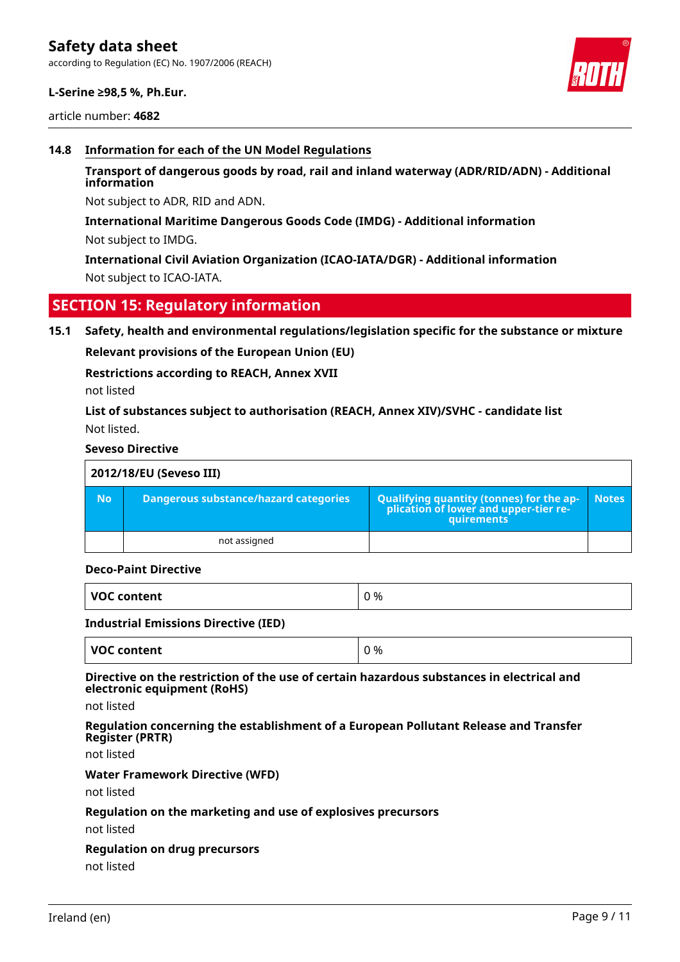### **L-Serine ≥98,5 %, Ph.Eur.**

article number: **4682**



#### **14.8 Information for each of the UN Model Regulations**

### **Transport of dangerous goods by road, rail and inland waterway (ADR/RID/ADN) - Additional information**

Not subject to ADR, RID and ADN.

#### **International Maritime Dangerous Goods Code (IMDG) - Additional information**

Not subject to IMDG.

**International Civil Aviation Organization (ICAO-IATA/DGR) - Additional information** Not subject to ICAO-IATA.

# **SECTION 15: Regulatory information**

#### **15.1 Safety, health and environmental regulations/legislation specific for the substance or mixture**

**Relevant provisions of the European Union (EU)**

#### **Restrictions according to REACH, Annex XVII**

not listed

# **List of substances subject to authorisation (REACH, Annex XIV)/SVHC - candidate list** Not listed.

#### **Seveso Directive**

| 2012/18/EU (Seveso III) |                                       |                                                                                                 |              |  |
|-------------------------|---------------------------------------|-------------------------------------------------------------------------------------------------|--------------|--|
| <b>No</b>               | Dangerous substance/hazard categories | Qualifying quantity (tonnes) for the ap-<br>plication of lower and upper-tier re-<br>quirements | <b>Notes</b> |  |
|                         | not assigned                          |                                                                                                 |              |  |

#### **Deco-Paint Directive**

| VOC content | ገ % |
|-------------|-----|
|             |     |

#### **Industrial Emissions Directive (IED)**

| <b>VOC content</b> | ገ % |
|--------------------|-----|

#### **Directive on the restriction of the use of certain hazardous substances in electrical and electronic equipment (RoHS)**

not listed

#### **Regulation concerning the establishment of a European Pollutant Release and Transfer Register (PRTR)**

not listed

#### **Water Framework Directive (WFD)**

not listed

#### **Regulation on the marketing and use of explosives precursors**

not listed

#### **Regulation on drug precursors**

not listed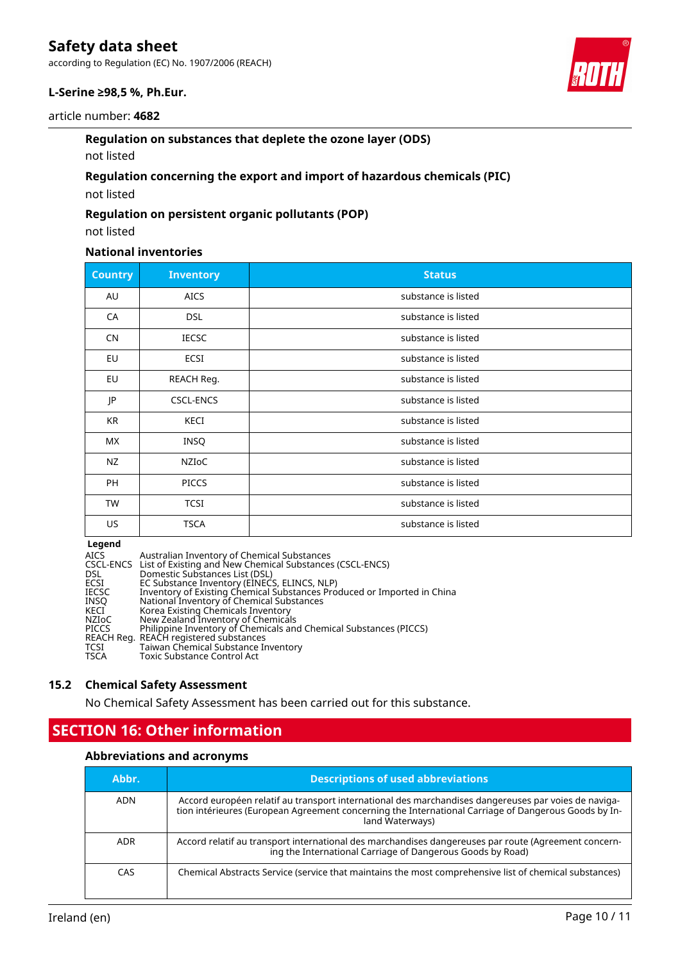according to Regulation (EC) No. 1907/2006 (REACH)

# **L-Serine ≥98,5 %, Ph.Eur.**



### **Regulation on substances that deplete the ozone layer (ODS)**

### not listed

# **Regulation concerning the export and import of hazardous chemicals (PIC)**

not listed

#### **Regulation on persistent organic pollutants (POP)**

not listed

# **National inventories**

| <b>Country</b> | <b>Inventory</b> | <b>Status</b>       |
|----------------|------------------|---------------------|
| AU             | <b>AICS</b>      | substance is listed |
| CA             | <b>DSL</b>       | substance is listed |
| <b>CN</b>      | <b>IECSC</b>     | substance is listed |
| EU             | ECSI             | substance is listed |
| <b>EU</b>      | REACH Reg.       | substance is listed |
| JP             | <b>CSCL-ENCS</b> | substance is listed |
| KR             | KECI             | substance is listed |
| <b>MX</b>      | <b>INSQ</b>      | substance is listed |
| <b>NZ</b>      | NZIoC            | substance is listed |
| PH             | <b>PICCS</b>     | substance is listed |
| TW             | <b>TCSI</b>      | substance is listed |
| US             | <b>TSCA</b>      | substance is listed |

### **Legend**

| <b>AICS</b>  | Australian Inventory of Chemical Substances                             |
|--------------|-------------------------------------------------------------------------|
|              | CSCL-ENCS List of Existing and New Chemical Substances (CSCL-ENCS)      |
| DSL          | Domestic Substances List (DSL)                                          |
| ECSI         | EC Substance Inventory (EINECS, ELINCS, NLP)                            |
| <b>IECSC</b> | Inventory of Existing Chemical Substances Produced or Imported in China |
| <b>INSO</b>  | National Inventory of Chemical Substances                               |
| KECI         | Korea Existing Chemicals Inventory                                      |
| NZIoC        | New Zealand Inventory of Chemicals                                      |
| <b>PICCS</b> | Philippine Inventory of Chemicals and Chemical Substances (PICCS)       |
|              | REACH Reg. REACH registered substances                                  |
| TCSI         | Taiwan Chemical Substance Inventory                                     |
| <b>TSCA</b>  | <b>Toxic Substance Control Act</b>                                      |

#### **15.2 Chemical Safety Assessment**

No Chemical Safety Assessment has been carried out for this substance.

# **SECTION 16: Other information**

### **Abbreviations and acronyms**

| Abbr.      | <b>Descriptions of used abbreviations</b>                                                                                                                                                                                       |
|------------|---------------------------------------------------------------------------------------------------------------------------------------------------------------------------------------------------------------------------------|
| <b>ADN</b> | Accord européen relatif au transport international des marchandises dangereuses par voies de naviga-<br>tion intérieures (European Agreement concerning the International Carriage of Dangerous Goods by In-<br>land Waterways) |
| <b>ADR</b> | Accord relatif au transport international des marchandises dangereuses par route (Agreement concern-<br>ing the International Carriage of Dangerous Goods by Road)                                                              |
| <b>CAS</b> | Chemical Abstracts Service (service that maintains the most comprehensive list of chemical substances)                                                                                                                          |